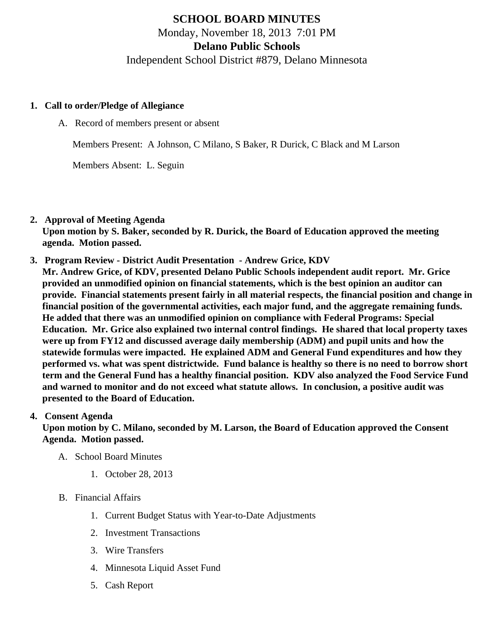# SCHOOL BOARD MINUTES Monday, November 18, 2013 7:01 PM Delano Public Schools Independent School District #879, Delano Minnesota

- 1. Call to order/Pledge of Allegiance
	- A. Record of members present or absent

Members Present: A Johnson, C Milano, S Baker, R Durick, C Black and M Larson

Members Absent: L. Seguin

- 2. Approval of Meeting Agenda Upon motion by S. Baker, seconded by R. Durick, the Board of Education approved the meeting agenda. Motion passed.
- 3. Program Review - [District Audit Presentation](/docs/district/Business_Office/Delano_2013_PowerPoint_[Compatibility_Mode].pdf) Andrew Grice, KDV Mr. Andrew Grice, of KDV, presented Delano Public Schools independent audit report. Mr. Grice provided an unmodified opinion on financial statements, which is the best opinion an auditor can provide. Financial statements present fairly in all material respects, the financial position and change in financial position of the governmental activities, each major fund, and the aggregate remaining funds. He added that there was an unmodified opinion on compliance with Federal Programs: Special Education. Mr. Grice also explained two internal control findings. He shared that local property taxes were up from FY12 and discussed average daily membership (ADM) and pupil units and how the statewide formulas were impacted. He explained ADM and General Fund expenditures and how they performed vs. what was spent districtwide. Fund balance is healthy so there is no need to borrow short term and the General Fund has a healthy financial position. KDV also analyzed the Food Service Fund and warned to monitor and do not exceed what statute allows. In conclusion, a positive audit was presented to the Board of Education.
- 4. Consent Agenda

Upon motion by C. Milano, seconded by M. Larson, the Board of Education approved the Consent Agenda. Motion passed.

- A. School Board Minutes
	- 1. [October 28, 201](/docs/district/District_Forms/October_2013_School_Board_Minutes.pdf)3
- B. Financial Affairs
	- 1. [Current Budget Status with Year-to-Date Adjustm](/docs/district/Business_Office/Budget_Report_Nov_13.pdf)ents
	- 2. [Investment Transactio](/docs/district/Business_Office/Investment_schedule_13-14.pdf)ns
	- 3. [Wire Transfer](/docs/district/Business_Office/Wire_Transfer.pdf)s
	- 4. [Minnesota Liquid Asset Fun](/docs/district/Business_Office/Liq_AFY14.pdf  )d
	- 5. [Cash Repo](/docs/district/Business_Office/Cash_Report.pdf )rt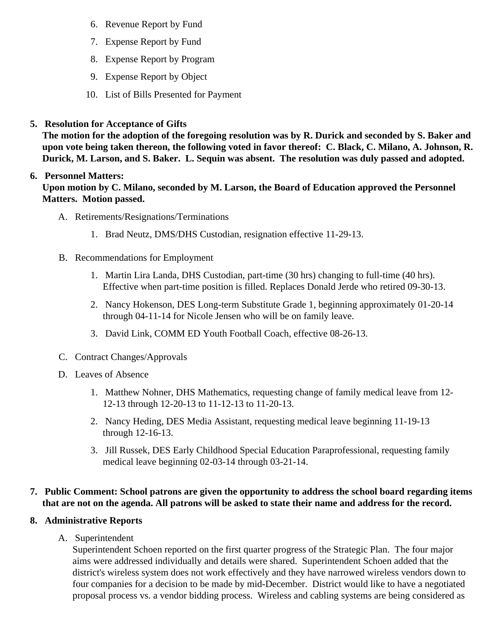- 6. [Revenue Report by Fu](/docs/district/Business_Office/SCHOOL_BOARD_REPORTS_-_REVENUE_BY_FUND_TOTAL__(Date__6_2014).pdf)nd
- 7. [Expense Report by Fu](/docs/district/Business_Office/SCHOOL_BOARD_REPORTS_-_EXP_BY_FUND_TOTAL__(Date__6_2014).pdf)nd
- 8. [Expense Report by Progra](/docs/district/Business_Office/SCHOOL_BOARD_REPORTS_-_EXPENDITURES_BY_PROGRAM__(Date__6_2014).pdf)m
- 9. [Expense Report by Obje](/docs/district/Business_Office/SCHOOL_BOARD_REPORTS_-_EXPENDITURES_BY_OBJECT__(Date__6_2014).pdf)ct
- 10. [List of Bills Presented for Payme](/docs/district/Business_Office/Detail_of_Bills_Paid.pdf)nt
- 5. [Resolution for Acceptance of Gifts](/docs/district/Business_Office/Resolution_for_Acceptance_of_Gifts_11.18.13.pdf)

The motion for the adoption of the foregoing resolution was by R. Durick and seconded by S. Baker and upon vote being taken thereon, the following voted in favor thereof: C. Black, C. Milano, A. Johnson, R. Durick, M. Larson, and S. Baker. L. Sequin was absent. The resolution was duly passed and adopted.

### 6. Personnel Matters:

Upon motion by C. Milano, seconded by M. Larson, the Board of Education approved the Personnel Matters. Motion passed.

- A. Retirements/Resignations/Terminations
	- 1. Brad Neutz, DMS/DHS Custodian, resignation effective 11-29-13.
- B. Recommendations for Employment
	- 1. Martin Lira Landa, DHS Custodian, part-time (30 hrs) changing to full-time (40 hrs). Effective when part-time position is filled. Replaces Donald Jerde who retired 09-30-13.
	- 2. Nancy Hokenson, DES Long-term Substitute Grade 1, beginning approximately 01-20-14 through 04-11-14 for Nicole Jensen who will be on family leave.
	- 3. David Link, COMM ED Youth Football Coach, effective 08-26-13.
- C. Contract Changes/Approvals
- D. Leaves of Absence
	- 1. Matthew Nohner, DHS Mathematics, requesting change of family medical leave from 12- 12-13 through 12-20-13 to 11-12-13 to 11-20-13.
	- 2. Nancy Heding, DES Media Assistant, requesting medical leave beginning 11-19-13 through 12-16-13.
	- 3. Jill Russek, DES Early Childhood Special Education Paraprofessional, requesting family medical leave beginning 02-03-14 through 03-21-14.
- 7. Public Comment: School patrons are given the opportunity to address the school board regarding items that are not on the agenda. All patrons will be asked to state their name and address for the record.
- 8. Administrative Reports
	- A. Superintendent

Superintendent Schoen reported on the first quarter progress of the Strategic Plan. The four major aims were addressed individually and details were shared. Superintendent Schoen added that the district's wireless system does not work effectively and they have narrowed wireless vendors down four companies for a decision to be made by mid-December. District would like to have a negotiate proposal process vs. a vendor bidding process. Wireless and cabling systems are being considere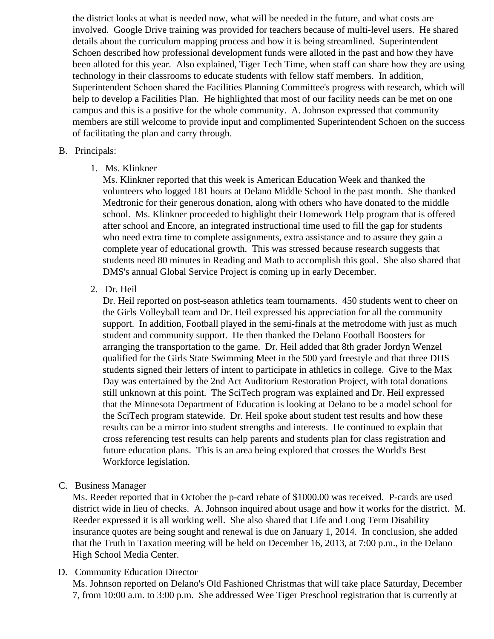the district looks at what is needed now, what will be needed in the future, and what costs are involved. Google Drive training was provided for teachers because of multi-level users. He shared details about the curriculum mapping process and how it is being streamlined. Superintendent Schoen described how professional development funds were alloted in the past and how they have been alloted for this year. Also explained, Tiger Tech Time, when staff can share how they are using technology in their classrooms to educate students with fellow staff members. In addition, Superintendent Schoen shared the Facilities Planning Committee's progress with research, which help to develop a Facilities Plan. He highlighted that most of our facility needs can be met on one campus and this is a positive for the whole community. A. Johnson expressed that community members are still welcome to provide input and complimented Superintendent Schoen on the succ of facilitating the plan and carry through.

### B. Principals:

1. Ms. Klinkner

Ms. Klinkner reported that this week is American Education Week and thanked the volunteers who logged 181 hours at Delano Middle School in the past month. She thanked Medtronic for their generous donation, along with others who have donated to the middle school. Ms. Klinkner proceeded to highlight their Homework Help program that is offered after school and Encore, an integrated instructional time used to fill the gap for students who need extra time to complete assignments, extra assistance and to assure they gain a complete year of educational growth. This was stressed because research suggests that students need 80 minutes in Reading and Math to accomplish this goal. She also shared that DMS's annual Global Service Project is coming up in early December.

2. Dr. Heil

Dr. Heil reported on post-season athletics team tournaments. 450 students went to cheer on the Girls Volleyball team and Dr. Heil expressed his appreciation for all the community support. In addition, Football played in the semi-finals at the metrodome with just as much student and community support. He then thanked the Delano Football Boosters for arranging the transportation to the game. Dr. Heil added that 8th grader Jordyn Wenzel qualified for the Girls State Swimming Meet in the 500 yard freestyle and that three DHS students signed their letters of intent to participate in athletics in college. Give to the Max Day was entertained by the 2nd Act Auditorium Restoration Project, with total donations still unknown at this point. The SciTech program was explained and Dr. Heil expressed that the Minnesota Department of Education is looking at Delano to be a model school for the SciTech program statewide. Dr. Heil spoke about student test results and how these results can be a mirror into student strengths and interests. He continued to explain that cross referencing test results can help parents and students plan for class registration and future education plans. This is an area being explored that crosses the World's Best Workforce legislation.

C. Business Manager

Ms. Reeder reported that in October the p-card rebate of \$1000.00 was received. P-cards are use district wide in lieu of checks. A. Johnson inquired about usage and how it works for the district. M. Reeder expressed it is all working well. She also shared that Life and Long Term Disability insurance quotes are being sought and renewal is due on January 1, 2014. In conclusion, she add that the Truth in Taxation meeting will be held on December 16, 2013, at 7:00 p.m., in the Delano High School Media Center.

D. Community Educatio[n Director](/docs/Community/School_Board_report_-_2013_Nov_18_CE.pdf)

Ms. Johnson reported on Delano's Old Fashioned Christmas that will take place Saturday, Decemb 7, from 10:00 a.m. to 3:00 p.m. She addressed Wee Tiger Preschool registration that is currently at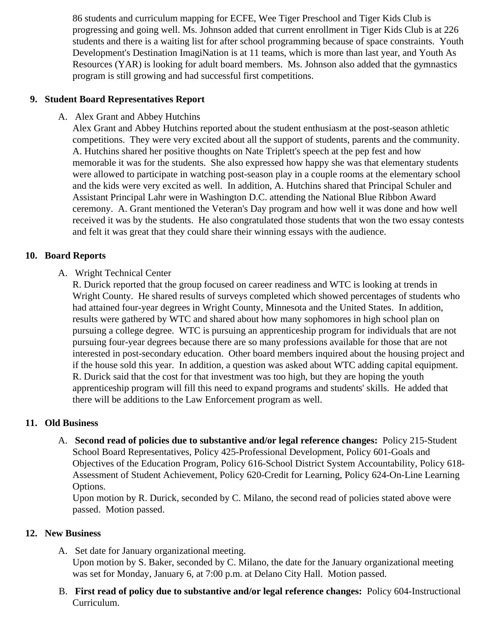86 students and curriculum mapping for ECFE, Wee Tiger Preschool and Tiger Kids Club is progressing and going well. Ms. Johnson added that current enrollment in Tiger Kids Club is at 226 students and there is a waiting list for after school programming because of space constraints. Youth Development's Destination ImagiNation is at 11 teams, which is more than last year, and Youth As Resources (YAR) is looking for adult board members. Ms. Johnson also added that the gymnastics program is still growing and had successful first competitions.

#### **9. Student Board Representatives Report**

A. Alex Grant and Abbey Hutchins

Alex Grant and Abbey Hutchins reported about the student enthusiasm at the post-season athletic competitions. They were very excited about all the support of students, parents and the community. A. Hutchins shared her positive thoughts on Nate Triplett's speech at the pep fest and how memorable it was for the students. She also expressed how happy she was that elementary students were allowed to participate in watching post-season play in a couple rooms at the elementary school and the kids were very excited as well. In addition, A. Hutchins shared that Principal Schuler and Assistant Principal Lahr were in Washington D.C. attending the National Blue Ribbon Award ceremony. A. Grant mentioned the Veteran's Day program and how well it was done and how well received it was by the students. He also congratulated those students that won the two essay contests and felt it was great that they could share their winning essays with the audience.

#### **10. Board Reports**

#### A. Wright Technical Center

R. Durick reported that the group focused on career readiness and WTC is looking at trends in Wright County. He shared results of surveys completed which showed percentages of students who had attained four-year degrees in Wright County, Minnesota and the United States. In addition, results were gathered by WTC and shared about how many sophomores in high school plan on pursuing a college degree. WTC is pursuing an apprenticeship program for individuals that are not pursuing four-year degrees because there are so many professions available for those that are not interested in post-secondary education. Other board members inquired about the housing project and if the house sold this year. In addition, a question was asked about WTC adding capital equipment. R. Durick said that the cost for that investment was too high, but they are hoping the youth apprenticeship program will fill this need to expand programs and students' skills. He added that there will be additions to the Law Enforcement program as well.

#### **11. Old Business**

A. **Second read of policies due to substantive and/or legal reference changes:** Policy 215-Student School Board Representatives, Policy 425-Professional Development, Policy 601-Goals and Objectives of the Education Program, Policy 616-School District System Accountability, Policy 618- Assessment of Student Achievement, Policy 620-Credit for Learning, Policy 624-On-Line Learning Options.

Upon motion by R. Durick, seconded by C. Milano, the second read of policies stated above were passed. Motion passed.

#### **12. New Business**

- A. Set date for January organizational meeting. Upon motion by S. Baker, seconded by C. Milano, the date for the January organizational meeting was set for Monday, January 6, at 7:00 p.m. at Delano City Hall. Motion passed.
- B. **First read of policy due to substantive and/or legal reference changes:** Policy 604-Instructional Curriculum.